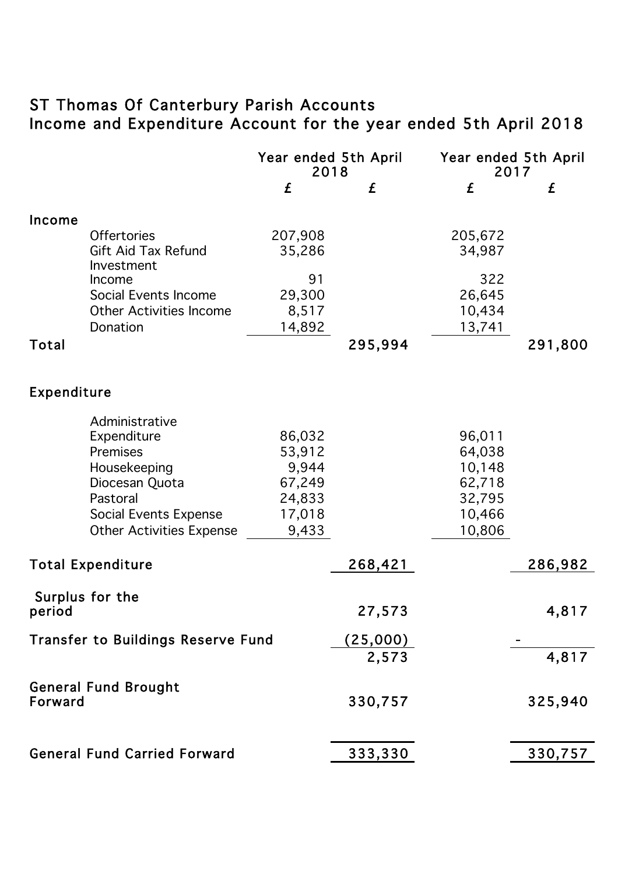## ST Thomas Of Canterbury Parish Accounts Income and Expenditure Account for the year ended 5th April 2018

|                          |                                                                                                                                                            | Year ended 5th April<br>2018                                     |                    | Year ended 5th April<br>2017                                       |         |
|--------------------------|------------------------------------------------------------------------------------------------------------------------------------------------------------|------------------------------------------------------------------|--------------------|--------------------------------------------------------------------|---------|
|                          |                                                                                                                                                            | £                                                                | £                  | £                                                                  | £       |
| Income                   | <b>Offertories</b><br><b>Gift Aid Tax Refund</b><br>Investment<br>Income<br>Social Events Income                                                           | 207,908<br>35,286<br>91<br>29,300                                |                    | 205,672<br>34,987<br>322<br>26,645                                 |         |
|                          | <b>Other Activities Income</b>                                                                                                                             | 8,517                                                            |                    | 10,434                                                             |         |
| Total                    | Donation                                                                                                                                                   | 14,892                                                           | 295,994            | 13,741                                                             | 291,800 |
| Expenditure              |                                                                                                                                                            |                                                                  |                    |                                                                    |         |
|                          | Administrative<br>Expenditure<br>Premises<br>Housekeeping<br>Diocesan Quota<br>Pastoral<br><b>Social Events Expense</b><br><b>Other Activities Expense</b> | 86,032<br>53,912<br>9,944<br>67,249<br>24,833<br>17,018<br>9,433 |                    | 96,011<br>64,038<br>10,148<br>62,718<br>32,795<br>10,466<br>10,806 |         |
| <b>Total Expenditure</b> |                                                                                                                                                            |                                                                  | 268,421            |                                                                    | 286,982 |
| period                   | Surplus for the<br><b>Transfer to Buildings Reserve Fund</b>                                                                                               |                                                                  | 27,573<br>(25,000) |                                                                    | 4,817   |
|                          |                                                                                                                                                            |                                                                  | 2,573              |                                                                    | 4,817   |
| Forward                  | <b>General Fund Brought</b>                                                                                                                                |                                                                  | 330,757            |                                                                    | 325,940 |
|                          | <b>General Fund Carried Forward</b>                                                                                                                        |                                                                  | 333,330            |                                                                    | 330,757 |